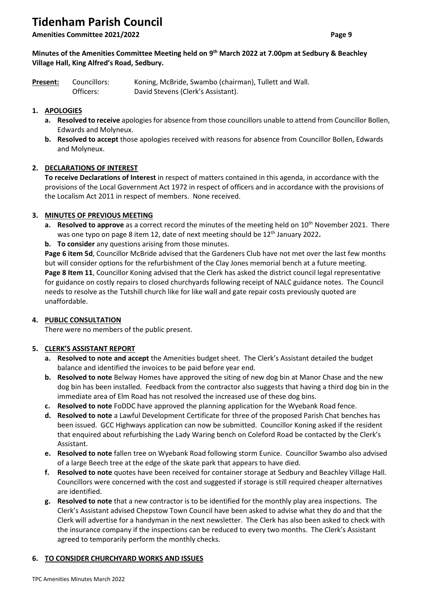# **Tidenham Parish Council**

**Amenities Committee 2021/2022 Page 9**

## **Minutes of the Amenities Committee Meeting held on 9 th March 2022 at 7.00pm at Sedbury & Beachley Village Hall, King Alfred's Road, Sedbury.**

| Present: | Councillors: | Koning, McBride, Swambo (chairman), Tullett and Wall. |
|----------|--------------|-------------------------------------------------------|
|          | Officers:    | David Stevens (Clerk's Assistant).                    |

# **1. APOLOGIES**

- **a. Resolved to receive** apologies for absence from those councillors unable to attend from Councillor Bollen, Edwards and Molyneux.
- **b. Resolved to accept** those apologies received with reasons for absence from Councillor Bollen, Edwards and Molyneux.

# **2. DECLARATIONS OF INTEREST**

**To receive Declarations of Interest** in respect of matters contained in this agenda, in accordance with the provisions of the Local Government Act 1972 in respect of officers and in accordance with the provisions of the Localism Act 2011 in respect of members.None received.

## **3. MINUTES OF PREVIOUS MEETING**

- **a. Resolved to approve** as a correct record the minutes of the meeting held on 10<sup>th</sup> November 2021. There was one typo on page 8 item 12, date of next meeting should be 12th January 2022**.**
- **b. To consider** any questions arising from those minutes.

**Page 6 item 5d**, Councillor McBride advised that the Gardeners Club have not met over the last few months but will consider options for the refurbishment of the Clay Jones memorial bench at a future meeting. **Page 8 Item 11**, Councillor Koning advised that the Clerk has asked the district council legal representative for guidance on costly repairs to closed churchyards following receipt of NALC guidance notes. The Council needs to resolve as the Tutshill church like for like wall and gate repair costs previously quoted are unaffordable.

# **4. PUBLIC CONSULTATION**

There were no members of the public present.

# **5. CLERK'S ASSISTANT REPORT**

- **a. Resolved to note and accept** the Amenities budget sheet. The Clerk's Assistant detailed the budget balance and identified the invoices to be paid before year end.
- **b. Resolved to note** Belway Homes have approved the siting of new dog bin at Manor Chase and the new dog bin has been installed. Feedback from the contractor also suggests that having a third dog bin in the immediate area of Elm Road has not resolved the increased use of these dog bins.
- **c. Resolved to note** FoDDC have approved the planning application for the Wyebank Road fence.
- **d. Resolved to note** a Lawful Development Certificate for three of the proposed Parish Chat benches has been issued. GCC Highways application can now be submitted. Councillor Koning asked if the resident that enquired about refurbishing the Lady Waring bench on Coleford Road be contacted by the Clerk's Assistant.
- **e. Resolved to note** fallen tree on Wyebank Road following storm Eunice. Councillor Swambo also advised of a large Beech tree at the edge of the skate park that appears to have died.
- **f. Resolved to note** quotes have been received for container storage at Sedbury and Beachley Village Hall. Councillors were concerned with the cost and suggested if storage is still required cheaper alternatives are identified.
- **g. Resolved to note** that a new contractor is to be identified for the monthly play area inspections. The Clerk's Assistant advised Chepstow Town Council have been asked to advise what they do and that the Clerk will advertise for a handyman in the next newsletter. The Clerk has also been asked to check with the insurance company if the inspections can be reduced to every two months. The Clerk's Assistant agreed to temporarily perform the monthly checks.

# **6. TO CONSIDER CHURCHYARD WORKS AND ISSUES**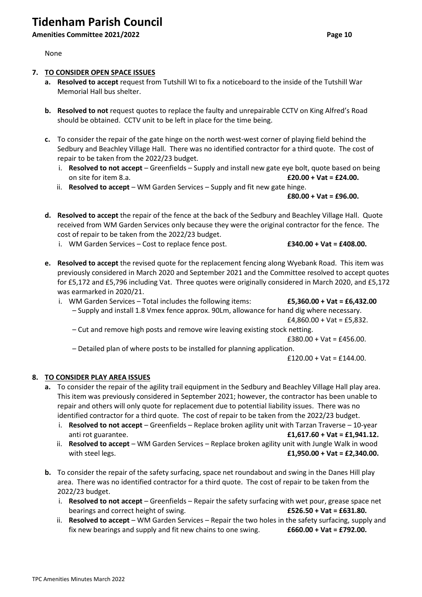# **Tidenham Parish Council**

# **Amenities Committee 2021/2022 Page 10**

None

## **7. TO CONSIDER OPEN SPACE ISSUES**

- **a. Resolved to accept** request from Tutshill WI to fix a noticeboard to the inside of the Tutshill War Memorial Hall bus shelter.
- **b. Resolved to not** request quotes to replace the faulty and unrepairable CCTV on King Alfred's Road should be obtained. CCTV unit to be left in place for the time being.
- **c.** To consider the repair of the gate hinge on the north west-west corner of playing field behind the Sedbury and Beachley Village Hall. There was no identified contractor for a third quote. The cost of repair to be taken from the 2022/23 budget.
	- i. **Resolved to not accept** Greenfields Supply and install new gate eye bolt, quote based on being on site for item 8.a. **£20.00 + Vat = £24.00.**
	- ii. **Resolved to accept** WM Garden Services Supply and fit new gate hinge.

**£80.00 + Vat = £96.00.**

- **d. Resolved to accept** the repair of the fence at the back of the Sedbury and Beachley Village Hall. Quote received from WM Garden Services only because they were the original contractor for the fence. The cost of repair to be taken from the 2022/23 budget.
	- i. WM Garden Services Cost to replace fence post. **£340.00 + Vat = £408.00.**

- **e. Resolved to accept** the revised quote for the replacement fencing along Wyebank Road. This item was previously considered in March 2020 and September 2021 and the Committee resolved to accept quotes for £5,172 and £5,796 including Vat. Three quotes were originally considered in March 2020, and £5,172 was earmarked in 2020/21.
	- i. WM Garden Services Total includes the following items: **£5,360.00 + Vat = £6,432.00** – Supply and install 1.8 Vmex fence approx. 90Lm, allowance for hand dig where necessary.  $£4,860.00 + Vat = £5,832.$ 
		- Cut and remove high posts and remove wire leaving existing stock netting.

 $£380.00 + Vat = £456.00.$ 

– Detailed plan of where posts to be installed for planning application.

 $£120.00 + Vat = £144.00.$ 

#### **8. TO CONSIDER PLAY AREA ISSUES**

- **a.** To consider the repair of the agility trail equipment in the Sedbury and Beachley Village Hall play area. This item was previously considered in September 2021; however, the contractor has been unable to repair and others will only quote for replacement due to potential liability issues. There was no identified contractor for a third quote. The cost of repair to be taken from the 2022/23 budget.
	- i. **Resolved to not accept** Greenfields Replace broken agility unit with Tarzan Traverse 10-year anti rot guarantee. **£1,617.60 + Vat = £1,941.12.**
	- ii. **Resolved to accept** WM Garden Services Replace broken agility unit with Jungle Walk in wood with steel legs. **£1,950.00 + Vat = £2,340.00.**
- **b.** To consider the repair of the safety surfacing, space net roundabout and swing in the Danes Hill play area. There was no identified contractor for a third quote. The cost of repair to be taken from the 2022/23 budget.
	- i. **Resolved to not accept** Greenfields Repair the safety surfacing with wet pour, grease space net bearings and correct height of swing. **£526.50 + Vat = £631.80.**
	- ii. **Resolved to accept** WM Garden Services Repair the two holes in the safety surfacing, supply and fix new bearings and supply and fit new chains to one swing. **£660.00 + Vat = £792.00.**